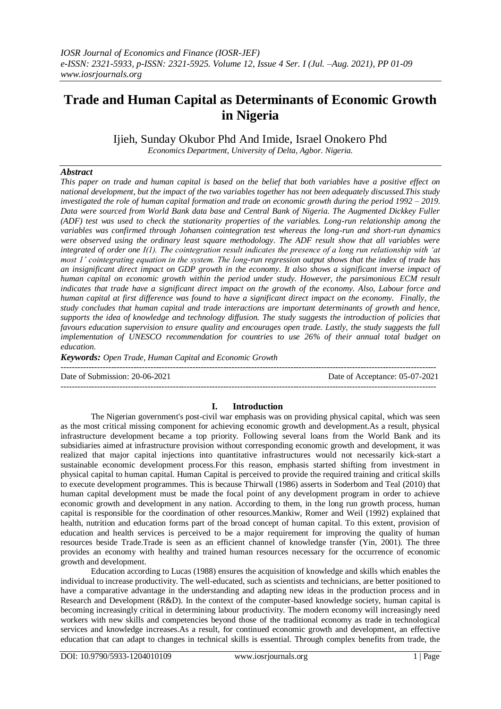# **Trade and Human Capital as Determinants of Economic Growth in Nigeria**

Ijieh, Sunday Okubor Phd And Imide, Israel Onokero Phd

*Economics Department, University of Delta, Agbor. Nigeria.*

# *Abstract*

*This paper on trade and human capital is based on the belief that both variables have a positive effect on national development, but the impact of the two variables together has not been adequately discussed.This study investigated the role of human capital formation and trade on economic growth during the period 1992 – 2019. Data were sourced from World Bank data base and Central Bank of Nigeria. The Augmented Dickkey Fuller (ADF) test was used to check the stationarity properties of the variables. Long-run relationship among the variables was confirmed through Johansen cointegration test whereas the long-run and short-run dynamics were observed using the ordinary least square methodology. The ADF result show that all variables were integrated of order one I(1). The cointegration result indicates the presence of a long run relationship with 'at most 1' cointegrating equation in the system. The long-run regression output shows that the index of trade has an insignificant direct impact on GDP growth in the economy. It also shows a significant inverse impact of human capital on economic growth within the period under study. However, the parsimonious ECM result indicates that trade have a significant direct impact on the growth of the economy. Also, Labour force and human capital at first difference was found to have a significant direct impact on the economy. Finally, the study concludes that human capital and trade interactions are important determinants of growth and hence, supports the idea of knowledge and technology diffusion. The study suggests the introduction of policies that favours education supervision to ensure quality and encourages open trade. Lastly, the study suggests the full implementation of UNESCO recommendation for countries to use 26% of their annual total budget on education.*

*Keywords: Open Trade, Human Capital and Economic Growth* 

Date of Submission: 20-06-2021 Date of Acceptance: 05-07-2021 --------------------------------------------------------------------------------------------------------------------------------------

# **I. Introduction**

--------------------------------------------------------------------------------------------------------------------------------------

The Nigerian government's post-civil war emphasis was on providing physical capital, which was seen as the most critical missing component for achieving economic growth and development.As a result, physical infrastructure development became a top priority. Following several loans from the World Bank and its subsidiaries aimed at infrastructure provision without corresponding economic growth and development, it was realized that major capital injections into quantitative infrastructures would not necessarily kick-start a sustainable economic development process.For this reason, emphasis started shifting from investment in physical capital to human capital. Human Capital is perceived to provide the required training and critical skills to execute development programmes. This is because Thirwall (1986) asserts in Soderbom and Teal (2010) that human capital development must be made the focal point of any development program in order to achieve economic growth and development in any nation. According to them, in the long run growth process, human capital is responsible for the coordination of other resources.Mankiw, Romer and Weil (1992) explained that health, nutrition and education forms part of the broad concept of human capital. To this extent, provision of education and health services is perceived to be a major requirement for improving the quality of human resources beside Trade.Trade is seen as an efficient channel of knowledge transfer (Yin, 2001). The three provides an economy with healthy and trained human resources necessary for the occurrence of economic growth and development.

Education according to Lucas (1988) ensures the acquisition of knowledge and skills which enables the individual to increase productivity. The well-educated, such as scientists and technicians, are better positioned to have a comparative advantage in the understanding and adapting new ideas in the production process and in Research and Development (R&D). In the context of the computer-based knowledge society, human capital is becoming increasingly critical in determining labour productivity. The modern economy will increasingly need workers with new skills and competencies beyond those of the traditional economy as trade in technological services and knowledge increases.As a result, for continued economic growth and development, an effective education that can adapt to changes in technical skills is essential. Through complex benefits from trade, the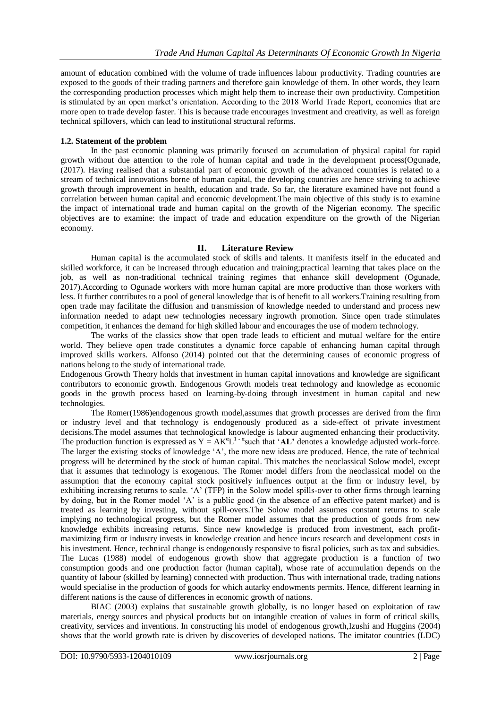amount of education combined with the volume of trade influences labour productivity. Trading countries are exposed to the goods of their trading partners and therefore gain knowledge of them. In other words, they learn the corresponding production processes which might help them to increase their own productivity. Competition is stimulated by an open market's orientation. According to the 2018 World Trade Report, economies that are more open to trade develop faster. This is because trade encourages investment and creativity, as well as foreign technical spillovers, which can lead to institutional structural reforms.

## **1.2. Statement of the problem**

In the past economic planning was primarily focused on accumulation of physical capital for rapid growth without due attention to the role of human capital and trade in the development process(Ogunade, (2017). Having realised that a substantial part of economic growth of the advanced countries is related to a stream of technical innovations borne of human capital, the developing countries are hence striving to achieve growth through improvement in health, education and trade. So far, the literature examined have not found a correlation between human capital and economic development.The main objective of this study is to examine the impact of international trade and human capital on the growth of the Nigerian economy. The specific objectives are to examine: the impact of trade and education expenditure on the growth of the Nigerian economy.

## **II. Literature Review**

Human capital is the accumulated stock of skills and talents. It manifests itself in the educated and skilled workforce, it can be increased through education and training;practical learning that takes place on the job, as well as non-traditional technical training regimes that enhance skill development (Ogunade, 2017).According to Ogunade workers with more human capital are more productive than those workers with less. It further contributes to a pool of general knowledge that is of benefit to all workers.Training resulting from open trade may facilitate the diffusion and transmission of knowledge needed to understand and process new information needed to adapt new technologies necessary ingrowth promotion. Since open trade stimulates competition, it enhances the demand for high skilled labour and encourages the use of modern technology.

The works of the classics show that open trade leads to efficient and mutual welfare for the entire world. They believe open trade constitutes a dynamic force capable of enhancing human capital through improved skills workers. Alfonso (2014) pointed out that the determining causes of economic progress of nations belong to the study of international trade.

Endogenous Growth Theory holds that investment in human capital innovations and knowledge are significant contributors to economic growth. Endogenous Growth models treat technology and knowledge as economic goods in the growth process based on learning-by-doing through investment in human capital and new technologies.

The Romer(1986)endogenous growth model,assumes that growth processes are derived from the firm or industry level and that technology is endogenously produced as a side-effect of private investment decisions.The model assumes that technological knowledge is labour augmented enhancing their productivity. The production function is expressed as  $Y = AK^{\alpha}L^{1-\alpha}$  such that 'AL' denotes a knowledge adjusted work-force. The larger the existing stocks of knowledge 'A', the more new ideas are produced. Hence, the rate of technical progress will be determined by the stock of human capital. This matches the neoclassical Solow model, except that it assumes that technology is exogenous. The Romer model differs from the neoclassical model on the assumption that the economy capital stock positively influences output at the firm or industry level, by exhibiting increasing returns to scale. 'A' (TFP) in the Solow model spills-over to other firms through learning by doing, but in the Romer model 'A' is a public good (in the absence of an effective patent market) and is treated as learning by investing, without spill-overs.The Solow model assumes constant returns to scale implying no technological progress, but the Romer model assumes that the production of goods from new knowledge exhibits increasing returns. Since new knowledge is produced from investment, each profitmaximizing firm or industry invests in knowledge creation and hence incurs research and development costs in his investment. Hence, technical change is endogenously responsive to fiscal policies, such as tax and subsidies. The Lucas (1988) model of endogenous growth show that aggregate production is a function of two consumption goods and one production factor (human capital), whose rate of accumulation depends on the quantity of labour (skilled by learning) connected with production. Thus with international trade, trading nations would specialise in the production of goods for which autarky endowments permits. Hence, different learning in different nations is the cause of differences in economic growth of nations.

BIAC (2003) explains that sustainable growth globally, is no longer based on exploitation of raw materials, energy sources and physical products but on intangible creation of values in form of critical skills, creativity, services and inventions. In constructing his model of endogenous growth,Izushi and Huggins (2004) shows that the world growth rate is driven by discoveries of developed nations. The imitator countries (LDC)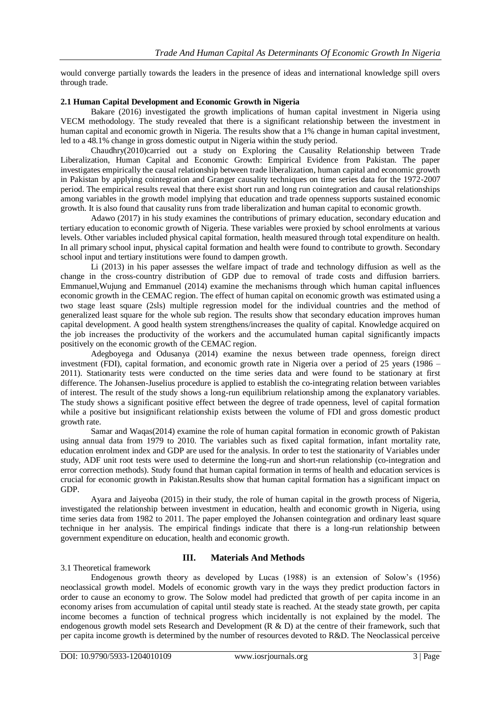would converge partially towards the leaders in the presence of ideas and international knowledge spill overs through trade.

#### **2.1 Human Capital Development and Economic Growth in Nigeria**

Bakare (2016) investigated the growth implications of human capital investment in Nigeria using VECM methodology. The study revealed that there is a significant relationship between the investment in human capital and economic growth in Nigeria. The results show that a 1% change in human capital investment, led to a 48.1% change in gross domestic output in Nigeria within the study period.

Chaudhry(2010)carried out a study on Exploring the Causality Relationship between Trade Liberalization, Human Capital and Economic Growth: Empirical Evidence from Pakistan. The paper investigates empirically the causal relationship between trade liberalization, human capital and economic growth in Pakistan by applying cointegration and Granger causality techniques on time series data for the 1972-2007 period. The empirical results reveal that there exist short run and long run cointegration and causal relationships among variables in the growth model implying that education and trade openness supports sustained economic growth. It is also found that causality runs from trade liberalization and human capital to economic growth.

Adawo (2017) in his study examines the contributions of primary education, secondary education and tertiary education to economic growth of Nigeria. These variables were proxied by school enrolments at various levels. Other variables included physical capital formation, health measured through total expenditure on health. In all primary school input, physical capital formation and health were found to contribute to growth. Secondary school input and tertiary institutions were found to dampen growth.

Li (2013) in his paper assesses the welfare impact of trade and technology diffusion as well as the change in the cross-country distribution of GDP due to removal of trade costs and diffusion barriers. Emmanuel,Wujung and Emmanuel (2014) examine the mechanisms through which human capital influences economic growth in the CEMAC region. The effect of human capital on economic growth was estimated using a two stage least square (2sls) multiple regression model for the individual countries and the method of generalized least square for the whole sub region. The results show that secondary education improves human capital development. A good health system strengthens/increases the quality of capital. Knowledge acquired on the job increases the productivity of the workers and the accumulated human capital significantly impacts positively on the economic growth of the CEMAC region.

Adegboyega and Odusanya (2014) examine the nexus between trade openness, foreign direct investment (FDI), capital formation, and economic growth rate in Nigeria over a period of 25 years (1986 – 2011). Stationarity tests were conducted on the time series data and were found to be stationary at first difference. The Johansen-Juselius procedure is applied to establish the co-integrating relation between variables of interest. The result of the study shows a long-run equilibrium relationship among the explanatory variables. The study shows a significant positive effect between the degree of trade openness, level of capital formation while a positive but insignificant relationship exists between the volume of FDI and gross domestic product growth rate.

Samar and Waqas(2014) examine the role of human capital formation in economic growth of Pakistan using annual data from 1979 to 2010. The variables such as fixed capital formation, infant mortality rate, education enrolment index and GDP are used for the analysis. In order to test the stationarity of Variables under study, ADF unit root tests were used to determine the long-run and short-run relationship (co-integration and error correction methods). Study found that human capital formation in terms of health and education services is crucial for economic growth in Pakistan.Results show that human capital formation has a significant impact on GDP.

Ayara and Jaiyeoba (2015) in their study, the role of human capital in the growth process of Nigeria, investigated the relationship between investment in education, health and economic growth in Nigeria, using time series data from 1982 to 2011. The paper employed the Johansen cointegration and ordinary least square technique in her analysis. The empirical findings indicate that there is a long-run relationship between government expenditure on education, health and economic growth.

# **III. Materials And Methods**

#### 3.1 Theoretical framework

Endogenous growth theory as developed by Lucas (1988) is an extension of Solow's (1956) neoclassical growth model. Models of economic growth vary in the ways they predict production factors in order to cause an economy to grow. The Solow model had predicted that growth of per capita income in an economy arises from accumulation of capital until steady state is reached. At the steady state growth, per capita income becomes a function of technical progress which incidentally is not explained by the model. The endogenous growth model sets Research and Development (R & D) at the centre of their framework, such that per capita income growth is determined by the number of resources devoted to R&D. The Neoclassical perceive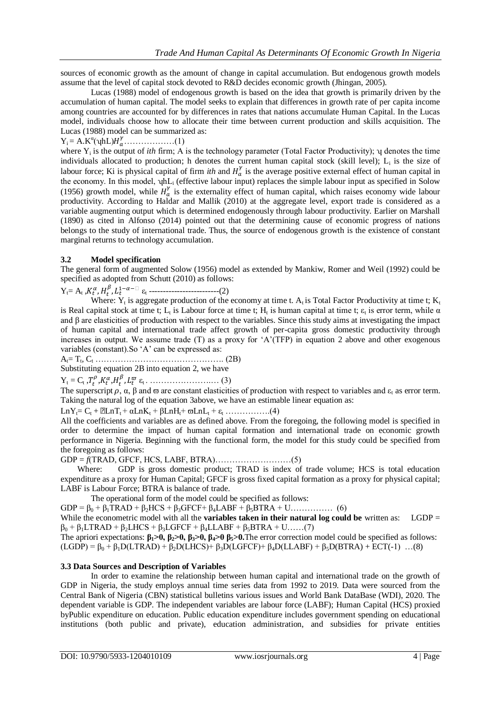sources of economic growth as the amount of change in capital accumulation. But endogenous growth models assume that the level of capital stock devoted to R&D decides economic growth (Jhingan, 2005).

Lucas (1988) model of endogenous growth is based on the idea that growth is primarily driven by the accumulation of human capital. The model seeks to explain that differences in growth rate of per capita income among countries are accounted for by differences in rates that nations accumulate Human Capital. In the Lucas model, individuals choose how to allocate their time between current production and skills acquisition. The Lucas (1988) model can be summarized as:

$$
Y_i = A.K^{\alpha}(\psi h L)H^{\gamma}_{\alpha}.\ldots \ldots \ldots \ldots \ldots (1)
$$

where  $Y_i$  is the output of *ith* firm; A is the technology parameter (Total Factor Productivity);  $\gamma$  denotes the time individuals allocated to production; h denotes the current human capital stock (skill level);  $L_i$  is the size of labour force; Ki is physical capital of firm *ith* and  $H_a^{\gamma}$  is the average positive external effect of human capital in the economy. In this model,  $\eta hL_i$  (effective labour input) replaces the simple labour input as specified in Solow (1956) growth model, while  $H''_a$  is the externality effect of human capital, which raises economy wide labour productivity. According to Haldar and Mallik (2010) at the aggregate level, export trade is considered as a variable augmenting output which is determined endogenously through labour productivity. Earlier on Marshall (1890) as cited in Alfonso (2014) pointed out that the determining cause of economic progress of nations belongs to the study of international trade. Thus, the source of endogenous growth is the existence of constant marginal returns to technology accumulation.

#### **3.2 Model specification**

The general form of augmented Solow (1956) model as extended by Mankiw, Romer and Weil (1992) could be specified as adopted from Schutt (2010) as follows:

Yt= A<sup>t</sup> , ε<sup>t</sup> -------------------------(2)

Where:  $Y_t$  is aggregate production of the economy at time t.  $A_t$  is Total Factor Productivity at time t;  $K_t$ is Real capital stock at time t;  $L_t$  is Labour force at time t;  $H_t$  is human capital at time t;  $\varepsilon_t$  is error term, while  $\alpha$ and β are elasticities of production with respect to the variables. Since this study aims at investigating the impact of human capital and international trade affect growth of per-capita gross domestic productivity through increases in output. We assume trade (T) as a proxy for 'A'(TFP) in equation 2 above and other exogenous variables (constant).So 'A' can be expressed as:

At= T<sup>t</sup> , C<sup>t</sup> ………………………………………. (2B)

Substituting equation 2B into equation 2, we have

 $Y_t = C_t \frac{T_t^{\rho}}{t} K_t^{\alpha} H_t^{\beta} L_t^{\overline{\omega}} \varepsilon_t \dots \dots \dots \dots \dots \dots \dots \dots \dots (3)$ 

The superscript  $\rho$ ,  $\alpha$ ,  $\beta$  and  $\varpi$  are constant elasticities of production with respect to variables and  $\varepsilon_t$  as error term. Taking the natural log of the equation 3above, we have an estimable linear equation as:

 $LnY_t=C_t + ELnT_t + \alpha LnK_t + \beta LnH_t + \varpi LnL_t + \varepsilon_t$  …………...(4)

All the coefficients and variables are as defined above. From the foregoing, the following model is specified in order to determine the impact of human capital formation and international trade on economic growth performance in Nigeria. Beginning with the functional form, the model for this study could be specified from the foregoing as follows:

GDP = *f*(TRAD, GFCF, HCS, LABF, BTRA)………………………(5)

 Where: GDP is gross domestic product; TRAD is index of trade volume; HCS is total education expenditure as a proxy for Human Capital; GFCF is gross fixed capital formation as a proxy for physical capital; LABF is Labour Force; BTRA is balance of trade.

The operational form of the model could be specified as follows:

GDP = β<sup>0</sup> + β1TRAD + β2HCS + β3GFCF+ β4LABF + β5BTRA + U…………… (6)

While the econometric model with all the **variables taken in their natural log could be** written as: LGDP =  $\beta_0 + \beta_1 LTRAD + \beta_2 LHCS + \beta_3 LGFCF + \beta_4 LLABF + \beta_5 BTRA + U$ ……(7)

The apriori expectations:  $β_1 > 0$ ,  $β_2 > 0$ ,  $β_3 > 0$ ,  $β_4 > 0$ , $β_5 > 0$ . The error correction model could be specified as follows:  $(LGDP) = \beta_0 + \beta_1 D(LTRAD) + \beta_2 D(LHCS) + \beta_3 D(LGFCF) + \beta_4 D(LLABF) + \beta_5 D(BTRA) + ECT(-1)$  ...(8)

#### **3.3 Data Sources and Description of Variables**

In order to examine the relationship between human capital and international trade on the growth of GDP in Nigeria, the study employs annual time series data from 1992 to 2019. Data were sourced from the Central Bank of Nigeria (CBN) statistical bulletins various issues and World Bank DataBase (WDI), 2020. The dependent variable is GDP. The independent variables are labour force (LABF); Human Capital (HCS) proxied byPublic expenditure on education. Public education expenditure includes government spending on educational institutions (both public and private), education administration, and subsidies for private entities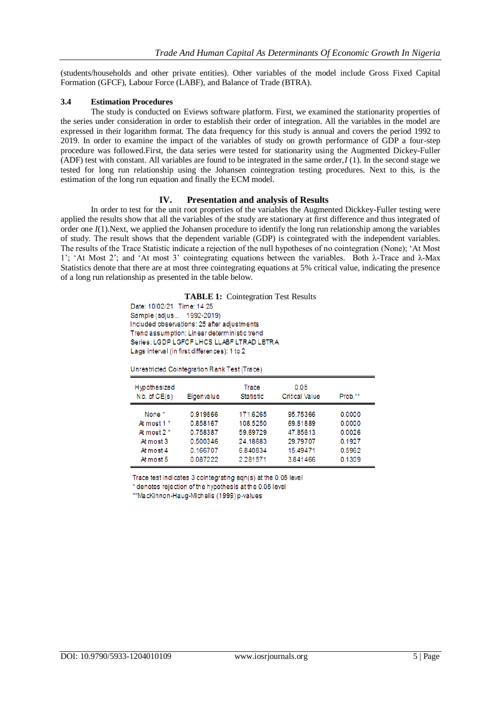(students/households and other private entities). Other variables of the model include Gross Fixed Capital Formation (GFCF), Labour Force (LABF), and Balance of Trade (BTRA).

#### **3.4 Estimation Procedures**

The study is conducted on Eviews software platform. First, we examined the stationarity properties of the series under consideration in order to establish their order of integration. All the variables in the model are expressed in their logarithm format. The data frequency for this study is annual and covers the period 1992 to 2019. In order to examine the impact of the variables of study on growth performance of GDP a four-step procedure was followed.First, the data series were tested for stationarity using the Augmented Dickey-Fuller (ADF) test with constant. All variables are found to be integrated in the same order,*I* (1). In the second stage we tested for long run relationship using the Johansen cointegration testing procedures. Next to this, is the estimation of the long run equation and finally the ECM model.

#### **IV. Presentation and analysis of Results**

In order to test for the unit root properties of the variables the Augmented Dickkey-Fuller testing were applied the results show that all the variables of the study are stationary at first difference and thus integrated of order one *I*(1).Next, we applied the Johansen procedure to identify the long run relationship among the variables of study. The result shows that the dependent variable (GDP) is cointegrated with the independent variables. The results of the Trace Statistic indicate a rejection of the null hypotheses of no cointegration (None); 'At Most 1'; 'At Most 2'; and 'At most 3' cointegrating equations between the variables. Both λ-Trace and λ-Max Statistics denote that there are at most three cointegrating equations at 5% critical value, indicating the presence of a long run relationship as presented in the table below.

**TABLE 1:** Cointegration Test Results

Date: 10/02/21 Time: 14:25 Sample (adjus... 1992-2019) Included observations: 25 after adjustments Trend assumption: Linear deterministic trend Series: LGDP LGFCF LHCS LLABF LTRAD LBTRA Lags interval (in first differences): 1 to 2

Unrestricted Cointegration Rank Test (Trace)

| Hypothesized<br>No. of CE(s) | Eigenvalue | Trace<br><b>Statistic</b> | 0.05<br><b>Critical Value</b> | Prob.** |
|------------------------------|------------|---------------------------|-------------------------------|---------|
| None <sup>*</sup>            | 0.919866   | 171.6265                  | 95.75366                      | 0.0000  |
| At most 1 <sup>*</sup>       | 0.858167   | 108.5250                  | 69.81889                      | 0.0000  |
| At most $2*$                 | 0.758387   | 59.69729                  | 47.85613                      | 0.0026  |
| At most 3                    | 0.500346   | 24.18683                  | 29.79707                      | 0.1927  |
| At most 4                    | 0.166707   | 6.840834                  | 15.49471                      | 0.5962  |
| At most 5                    | 0.087222   | 2.281571                  | 3.841466                      | 0.1309  |

Trace test indicates 3 cointegrating egn(s) at the 0.05 level

\* denotes rejection of the hypothesis at the 0.05 level

\*\*MacKinnon-Haug-Michelis (1999) p-values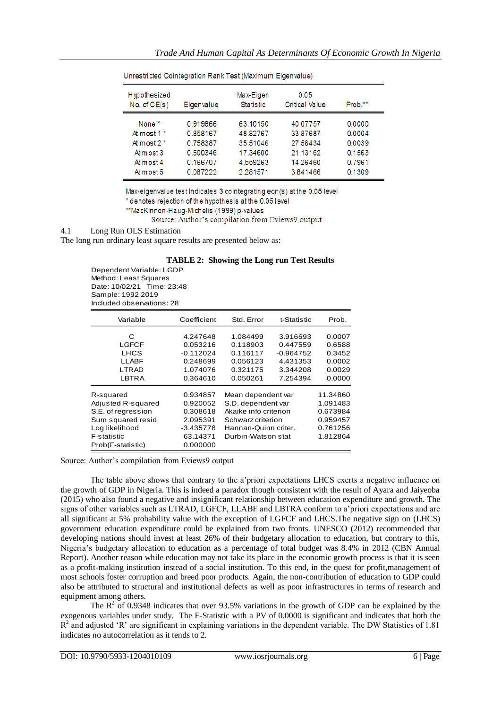| Hypothesized<br>No. of CE(s) | Eigenvalue | Max-Eigen<br><b>Statistic</b> | 0.05<br><b>Critical Value</b> | Prob.** |
|------------------------------|------------|-------------------------------|-------------------------------|---------|
| None <sup>*</sup>            | 0.919866   | 63.10150                      | 40.07757                      | 0.0000  |
| At most 1 <sup>*</sup>       | 0.858167   | 48.82767                      | 33.87687                      | 0.0004  |
| At most $2^*$                | 0.758387   | 35.51046                      | 27.58434                      | 0.0039  |
| At most 3                    | 0.500346   | 17.34600                      | 21.13162                      | 0.1563  |
| At most 4                    | 0.166707   | 4.559263                      | 14.26460                      | 0.7961  |
| At most 5                    | 0.087222   | 2.281571                      | 3.841466                      | 0.1309  |

Unrestricted Cointegration Rank Test (Maximum Eigenvalue)

Max-eigenvalue test indicates 3 cointegrating eqn(s) at the 0.05 level

\* denotes rejection of the hypothesis at the 0.05 level

\*\*MacKinnon-Haug-Michelis (1999) p-values

Source: Author's compilation from Eviews9 output

#### 4.1 Long Run OLS Estimation

The long run ordinary least square results are presented below as:

| <b>TABLE 2: Showing the Long run Test Results</b> |  |  |  |  |  |
|---------------------------------------------------|--|--|--|--|--|
|---------------------------------------------------|--|--|--|--|--|

Dependent Variable: LGDP Method: Least Squares Date: 10/02/21 Time: 23:48 Sample: 1992 2019 Included observations: 28

| Variable                                                                                                                         | Coefficient                                                                         | Std. Error                                                                                                                           | t-Statistic                                                             | Prob.                                                                |
|----------------------------------------------------------------------------------------------------------------------------------|-------------------------------------------------------------------------------------|--------------------------------------------------------------------------------------------------------------------------------------|-------------------------------------------------------------------------|----------------------------------------------------------------------|
| C<br>LGFCF<br>LHCS<br>LLABF<br><b>LTRAD</b><br>LBTRA                                                                             | 4.247648<br>0.053216<br>$-0.112024$<br>0.248699<br>1.074076<br>0.364610             | 1.084499<br>0.118903<br>0.116117<br>0.056123<br>0.321175<br>0.050261                                                                 | 3.916693<br>0.447559<br>$-0.964752$<br>4.431353<br>3.344208<br>7.254394 | 0.0007<br>0.6588<br>0.3452<br>0.0002<br>0.0029<br>0.0000             |
| R-squared<br>Adjusted R-squared<br>S.E. of regression<br>Sum squared resid<br>Log likelihood<br>F-statistic<br>Prob(F-statistic) | 0.934857<br>0.920052<br>0.308618<br>2.095391<br>$-3.435778$<br>63.14371<br>0.000000 | Mean dependent var<br>S.D. dependent var<br>Akaike info criterion<br>Schwarz criterion<br>Hannan-Quinn criter.<br>Durbin-Watson stat |                                                                         | 11.34860<br>1.091483<br>0.673984<br>0.959457<br>0.761256<br>1.812864 |

Source: Author's compilation from Eviews9 output

The table above shows that contrary to the a'priori expectations LHCS exerts a negative influence on the growth of GDP in Nigeria. This is indeed a paradox though consistent with the result of Ayara and Jaiyeoba (2015) who also found a negative and insignificant relationship between education expenditure and growth. The signs of other variables such as LTRAD, LGFCF, LLABF and LBTRA conform to a'priori expectations and are all significant at 5% probability value with the exception of LGFCF and LHCS.The negative sign on (LHCS) government education expenditure could be explained from two fronts. UNESCO (2012) recommended that developing nations should invest at least 26% of their budgetary allocation to education, but contrary to this, Nigeria's budgetary allocation to education as a percentage of total budget was 8.4% in 2012 (CBN Annual Report). Another reason while education may not take its place in the economic growth process is that it is seen as a profit-making institution instead of a social institution. To this end, in the quest for profit,management of most schools foster corruption and breed poor products. Again, the non-contribution of education to GDP could also be attributed to structural and institutional defects as well as poor infrastructures in terms of research and equipment among others.

The  $R^2$  of 0.9348 indicates that over 93.5% variations in the growth of GDP can be explained by the exogenous variables under study. The F-Statistic with a PV of 0.0000 is significant and indicates that both the  $R<sup>2</sup>$  and adjusted 'R' are significant in explaining variations in the dependent variable. The DW Statistics of 1.81 indicates no autocorrelation as it tends to 2.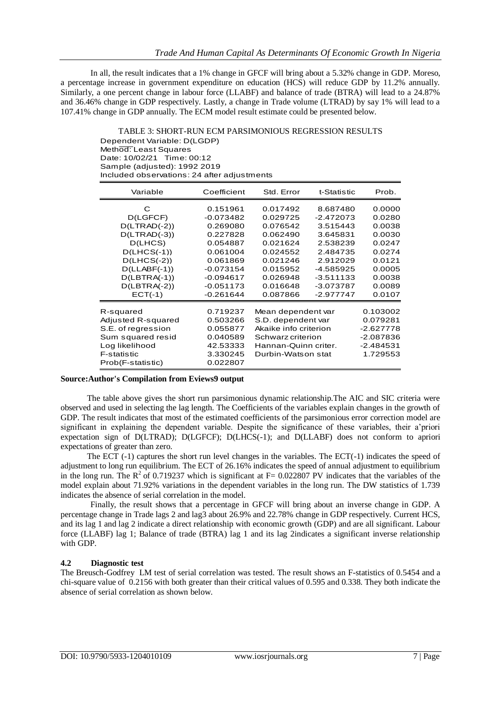In all, the result indicates that a 1% change in GFCF will bring about a 5.32% change in GDP. Moreso, a percentage increase in government expenditure on education (HCS) will reduce GDP by 11.2% annually. Similarly, a one percent change in labour force (LLABF) and balance of trade (BTRA) will lead to a 24.87% and 36.46% change in GDP respectively. Lastly, a change in Trade volume (LTRAD) by say 1% will lead to a 107.41% change in GDP annually. The ECM model result estimate could be presented below.

TABLE 3: SHORT-RUN ECM PARSIMONIOUS REGRESSION RESULTS Dependent Variable: D(LGDP) Method: Least Squares Date: 10/02/21 Time: 00:12 Sample (adjusted): 1992 2019 Included observations: 24 after adjustments

| Variable           | Coefficient | Std. Error            | t-Statistic | Prob.       |
|--------------------|-------------|-----------------------|-------------|-------------|
| С                  | 0.151961    | 0.017492              | 8.687480    | 0.0000      |
| D(LGFCF)           | $-0.073482$ | 0.029725              | $-2.472073$ | 0.0280      |
| $D(LTRAD(-2))$     | 0.269080    | 0.076542              | 3.515443    | 0.0038      |
| $D(LTRAD(-3))$     | 0.227828    | 0.062490              | 3.645831    | 0.0030      |
| D(LHCS)            | 0.054887    | 0.021624              | 2.538239    | 0.0247      |
| $D(LHCS(-1))$      | 0.061004    | 0.024552              | 2.484735    | 0.0274      |
| $D(LHCS(-2))$      | 0.061869    | 0.021246              | 2.912029    | 0.0121      |
| $D(LLABF(-1))$     | $-0.073154$ | 0.015952              | $-4.585925$ | 0.0005      |
| $D(LBTRA(-1))$     | $-0.094617$ | 0.026948              | $-3.511133$ | 0.0038      |
| $D(LBTRA(-2))$     | $-0.051173$ | 0.016648              | $-3.073787$ | 0.0089      |
| $ECT(-1)$          | $-0.261644$ | 0.087866              | -2.977747   | 0.0107      |
| R-squared          | 0.719237    | Mean dependent var    |             | 0.103002    |
| Adjusted R-squared | 0.503266    | S.D. dependent var    |             | 0.079281    |
| S.E. of regression | 0.055877    | Akaike info criterion |             | -2.627778   |
| Sum squared resid  | 0.040589    | Schwarz criterion     |             | $-2.087836$ |
| Log likelihood     | 42.53333    | Hannan-Quinn criter.  |             | -2.484531   |
| F-statistic        | 3.330245    | Durbin-Watson stat    |             | 1.729553    |
| Prob(F-statistic)  | 0.022807    |                       |             |             |

#### **Source:Author's Compilation from Eviews9 output**

The table above gives the short run parsimonious dynamic relationship.The AIC and SIC criteria were observed and used in selecting the lag length. The Coefficients of the variables explain changes in the growth of GDP. The result indicates that most of the estimated coefficients of the parsimonious error correction model are significant in explaining the dependent variable. Despite the significance of these variables, their a'priori expectation sign of D(LTRAD); D(LGFCF); D(LHCS(-1); and D(LLABF) does not conform to apriori expectations of greater than zero.

The ECT (-1) captures the short run level changes in the variables. The ECT(-1) indicates the speed of adjustment to long run equilibrium. The ECT of 26.16% indicates the speed of annual adjustment to equilibrium in the long run. The  $R^2$  of 0.719237 which is significant at  $F= 0.022807$  PV indicates that the variables of the model explain about 71.92% variations in the dependent variables in the long run. The DW statistics of 1.739 indicates the absence of serial correlation in the model.

Finally, the result shows that a percentage in GFCF will bring about an inverse change in GDP. A percentage change in Trade lags 2 and lag3 about 26.9% and 22.78% change in GDP respectively. Current HCS, and its lag 1 and lag 2 indicate a direct relationship with economic growth (GDP) and are all significant. Labour force (LLABF) lag 1; Balance of trade (BTRA) lag 1 and its lag 2indicates a significant inverse relationship with GDP.

# **4.2 Diagnostic test**

The Breusch-Godfrey LM test of serial correlation was tested. The result shows an F-statistics of 0.5454 and a chi-square value of 0.2156 with both greater than their critical values of 0.595 and 0.338. They both indicate the absence of serial correlation as shown below.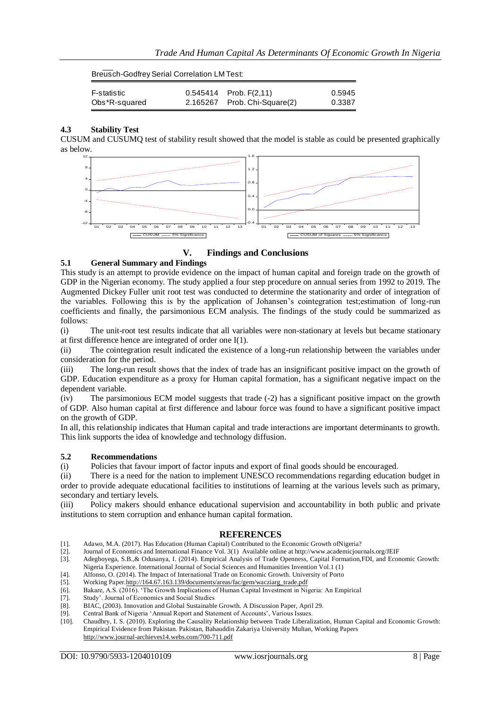| F-statistic   | $0.545414$ Prob. $F(2,11)$   | 0.5945 |
|---------------|------------------------------|--------|
| Obs*R-squared | 2.165267 Prob. Chi-Square(2) | 0.3387 |

## **4.3 Stability Test**

CUSUM and CUSUMQ test of stability result showed that the model is stable as could be presented graphically as below.



**V. Findings and Conclusions**

## **5.1 General Summary and Findings**

This study is an attempt to provide evidence on the impact of human capital and foreign trade on the growth of GDP in the Nigerian economy. The study applied a four step procedure on annual series from 1992 to 2019. The Augmented Dickey Fuller unit root test was conducted to determine the stationarity and order of integration of the variables. Following this is by the application of Johansen's cointegration test;estimation of long-run coefficients and finally, the parsimonious ECM analysis. The findings of the study could be summarized as follows:

(i) The unit-root test results indicate that all variables were non-stationary at levels but became stationary at first difference hence are integrated of order one I(1).

(ii) The cointegration result indicated the existence of a long-run relationship between the variables under consideration for the period.

(iii) The long-run result shows that the index of trade has an insignificant positive impact on the growth of GDP. Education expenditure as a proxy for Human capital formation, has a significant negative impact on the dependent variable.

(iv) The parsimonious ECM model suggests that trade (-2) has a significant positive impact on the growth of GDP. Also human capital at first difference and labour force was found to have a significant positive impact on the growth of GDP.

In all, this relationship indicates that Human capital and trade interactions are important determinants to growth. This link supports the idea of knowledge and technology diffusion.

#### **5.2 Recommendations**

(i) Policies that favour import of factor inputs and export of final goods should be encouraged.

(ii) There is a need for the nation to implement UNESCO recommendations regarding education budget in order to provide adequate educational facilities to institutions of learning at the various levels such as primary, secondary and tertiary levels.

(iii) Policy makers should enhance educational supervision and accountability in both public and private institutions to stem corruption and enhance human capital formation.

#### **REFERENCES**

- [1]. Adawo, M.A. (2017). Has Education (Human Capital) Contributed to the Economic Growth ofNigeria?
- [2]. Journal of Economics and International Finance Vol. 3(1) Available online at http://www.academicjournals.org/JEIF
- [3]. Adegboyega, S.B.,& Odusanya, I. (2014). Empirical Analysis of Trade Openness, Capital Formation,FDI, and Economic Growth: Nigeria Experience. International Journal of Social Sciences and Humanities Invention Vol.1 (1) [4]. Alfonso, O. (2014). The Impact of International Trade on Economic Growth. University of Porto
- [5]. Working Pape[r.http://164.67.163.139/documents/areas/fac/gem/wacziarg\\_trade.pdf](http://164.67.163.139/documents/areas/fac/gem/wacziarg_trade.pdf)
- [6]. Bakare, A.S. (2016). 'The Growth Implications of Human Capital Investment in Nigeria: An Empirical
- [7]. Study'. Journal of Economics and Social Studies
- [8]. BIAC, (2003). Innovation and Global Sustainable Growth. A Discussion Paper, April 29.
- [9]. Central Bank of Nigeria 'Annual Report and Statement of Accounts', Various Issues.
- [10]. Chaudhry, I. S. (2010). Exploring the Causality Relationship between Trade Liberalization, Human Capital and Economic Growth: Empirical Evidence from Pakistan. Pakistan, Bahauddin Zakariya University Multan, Working Papers <http://www.journal-archieves14.webs.com/700-711.pdf>